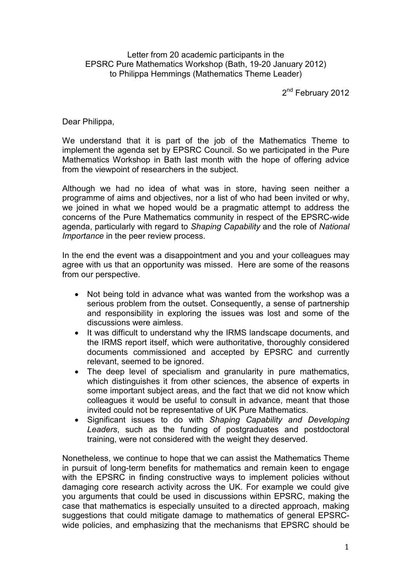Letter from 20 academic participants in the EPSRC Pure Mathematics Workshop (Bath, 19-20 January 2012) to Philippa Hemmings (Mathematics Theme Leader)

2<sup>nd</sup> February 2012

Dear Philippa,

We understand that it is part of the job of the Mathematics Theme to implement the agenda set by EPSRC Council. So we participated in the Pure Mathematics Workshop in Bath last month with the hope of offering advice from the viewpoint of researchers in the subject.

Although we had no idea of what was in store, having seen neither a programme of aims and objectives, nor a list of who had been invited or why, we joined in what we hoped would be a pragmatic attempt to address the concerns of the Pure Mathematics community in respect of the EPSRC-wide agenda, particularly with regard to *Shaping Capability* and the role of *National Importance* in the peer review process.

In the end the event was a disappointment and you and your colleagues may agree with us that an opportunity was missed. Here are some of the reasons from our perspective.

- Not being told in advance what was wanted from the workshop was a serious problem from the outset. Consequently, a sense of partnership and responsibility in exploring the issues was lost and some of the discussions were aimless.
- It was difficult to understand why the IRMS landscape documents, and the IRMS report itself, which were authoritative, thoroughly considered documents commissioned and accepted by EPSRC and currently relevant, seemed to be ignored.
- The deep level of specialism and granularity in pure mathematics, which distinguishes it from other sciences, the absence of experts in some important subject areas, and the fact that we did not know which colleagues it would be useful to consult in advance, meant that those invited could not be representative of UK Pure Mathematics.
- Significant issues to do with *Shaping Capability and Developing Leaders*, such as the funding of postgraduates and postdoctoral training, were not considered with the weight they deserved.

Nonetheless, we continue to hope that we can assist the Mathematics Theme in pursuit of long-term benefits for mathematics and remain keen to engage with the EPSRC in finding constructive ways to implement policies without damaging core research activity across the UK. For example we could give you arguments that could be used in discussions within EPSRC, making the case that mathematics is especially unsuited to a directed approach, making suggestions that could mitigate damage to mathematics of general EPSRCwide policies, and emphasizing that the mechanisms that EPSRC should be